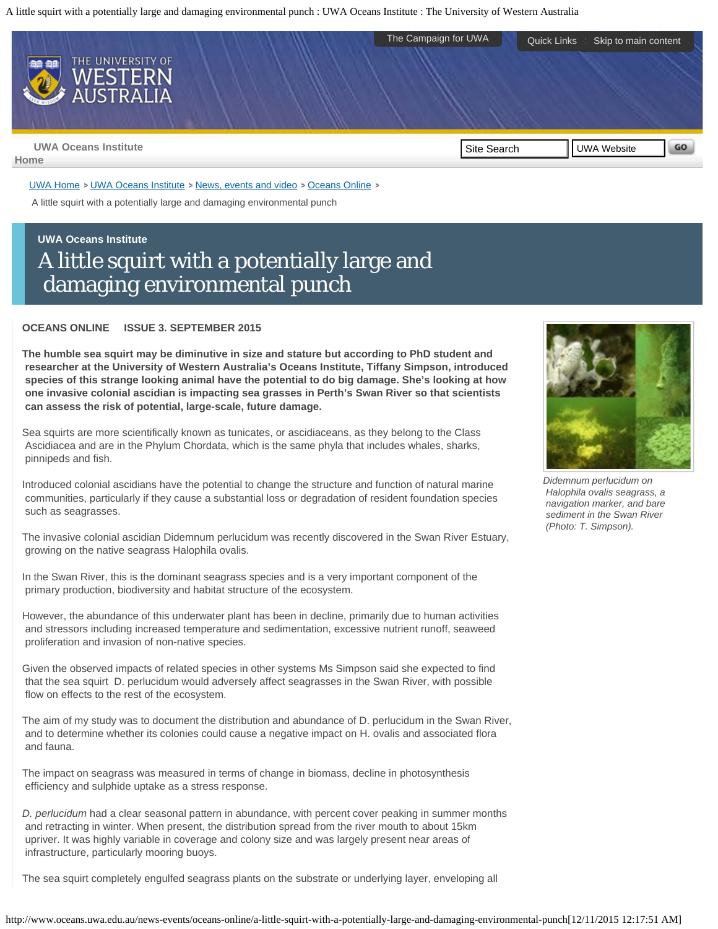<span id="page-0-0"></span>A little squirt with a potentially large and damaging environmental punch : UWA Oceans Institute : The University of Western Australia



[UWA Home](http://www.uwa.edu.au/) > [UWA Oceans Institute](http://www.oceans.uwa.edu.au/) > [News, events and video](http://www.oceans.uwa.edu.au/news-events) > [Oceans Online](http://www.oceans.uwa.edu.au/news-events/oceans-online) >

A little squirt with a potentially large and damaging environmental punch

# **UWA Oceans Institute** A little squirt with a potentially large and damaging environmental punch

### <span id="page-0-1"></span>**OCEANS ONLINE ISSUE 3. SEPTEMBER 2015**

**The humble sea squirt may be diminutive in size and stature but according to PhD student and researcher at the University of Western Australia's Oceans Institute, Tiffany Simpson, introduced species of this strange looking animal have the potential to do big damage. She's looking at how one invasive colonial ascidian is impacting sea grasses in Perth's Swan River so that scientists can assess the risk of potential, large-scale, future damage.**

Sea squirts are more scientifically known as tunicates, or ascidiaceans, as they belong to the Class Ascidiacea and are in the Phylum Chordata, which is the same phyla that includes whales, sharks, pinnipeds and fish.

Introduced colonial ascidians have the potential to change the structure and function of natural marine communities, particularly if they cause a substantial loss or degradation of resident foundation species such as seagrasses.

The invasive colonial ascidian Didemnum perlucidum was recently discovered in the Swan River Estuary, growing on the native seagrass Halophila ovalis.

In the Swan River, this is the dominant seagrass species and is a very important component of the primary production, biodiversity and habitat structure of the ecosystem.

However, the abundance of this underwater plant has been in decline, primarily due to human activities and stressors including increased temperature and sedimentation, excessive nutrient runoff, seaweed proliferation and invasion of non-native species.

Given the observed impacts of related species in other systems Ms Simpson said she expected to find that the sea squirt D. perlucidum would adversely affect seagrasses in the Swan River, with possible flow on effects to the rest of the ecosystem.

The aim of my study was to document the distribution and abundance of D. perlucidum in the Swan River, and to determine whether its colonies could cause a negative impact on H. ovalis and associated flora and fauna.

The impact on seagrass was measured in terms of change in biomass, decline in photosynthesis efficiency and sulphide uptake as a stress response.

*D. perlucidum* had a clear seasonal pattern in abundance, with percent cover peaking in summer months and retracting in winter. When present, the distribution spread from the river mouth to about 15km upriver. It was highly variable in coverage and colony size and was largely present near areas of infrastructure, particularly mooring buoys.

The sea squirt completely engulfed seagrass plants on the substrate or underlying layer, enveloping all



*Didemnum perlucidum on Halophila ovalis seagrass, a navigation marker, and bare sediment in the Swan River (Photo: T. Simpson).*